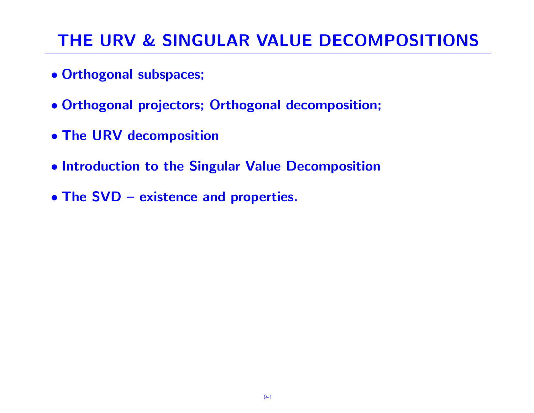# THE URV & SINGULAR VALUE DECOMPOSITIONS

- Orthogonal subspaces;
- Orthogonal projectors; Orthogonal decomposition;
- The URV decomposition
- Introduction to the Singular Value Decomposition
- The SVD existence and properties.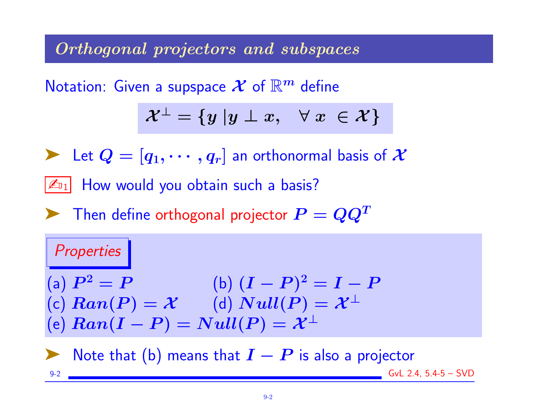## Orthogonal projectors and subspaces

Notation: Given a supspace  $\mathcal X$  of  $\mathbb R^m$  define

$$
\mathcal{X}^\perp = \{y\;| y \perp x, \ \ \, \forall \; x \; \in \mathcal{X}\}
$$

Example 1 Let  $Q = [q_1, \cdots, q_r]$  an orthonormal basis of  $\mathcal X$ 

 $|\mathcal{L}_{01}|$  How would you obtain such a basis?

 $\blacktriangleright$  Then define orthogonal projector  $P = QQ^T$ 

### Properties

(a)  $P^2 = P$  (b)  $(I - P)^2 = I - P$ (c)  $Ran(P) = X$  (d)  $Null(P) = X^{\perp}$ (e)  $Ran(I - P) = Null(P) = \mathcal{X}^{\perp}$ 

Note that (b) means that  $\boldsymbol{I}-\boldsymbol{P}$  is also a projector 9-2 GvL 2.4, 5.4-5 – SVD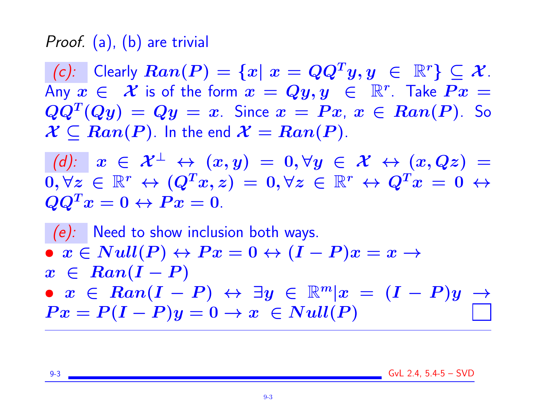## Proof. (a), (b) are trivial

 $(c):$  Clearly  $Ran(P) = \{x | x = QQ^Ty, y \in \mathbb{R}^r\} \subseteq \mathcal{X}$ . Any  $x \in \mathcal{X}$  is of the form  $x = Qy, y \in \mathbb{R}^r$ . Take  $Px =$  $QQ^T (Qy) = Qy = x$ . Since  $x = Px$ ,  $x \in Ran(P)$ . So  $\mathcal{X} \subseteq Ran(P)$ . In the end  $\mathcal{X} = Ran(P)$ .

(d):  $x \in \mathcal{X}^{\perp} \leftrightarrow (x, y) = 0, \forall y \in \mathcal{X} \leftrightarrow (x, Qz) = 0$  $0, \forall z \in \mathbb{R}^r \leftrightarrow (Q^T x, z) = 0, \forall z \in \mathbb{R}^r \leftrightarrow Q^T x = 0 \leftrightarrow$  $QQ^Tx=0 \leftrightarrow Px=0.$ 

 $(e)$ : Need to show inclusion both ways.  $\bullet \; x \in Null(P) \leftrightarrow Px = 0 \leftrightarrow (I - P)x = x \rightarrow$  $x \in Ran(I-P)$ •  $x \in Ran(I - P) \leftrightarrow \exists y \in \mathbb{R}^m | x = (I - P)y \rightarrow$  $Px = P(I - P)y = 0 \rightarrow x \in Null(P)$ 

9-3 GvL 2.4, 5.4-5 – SVD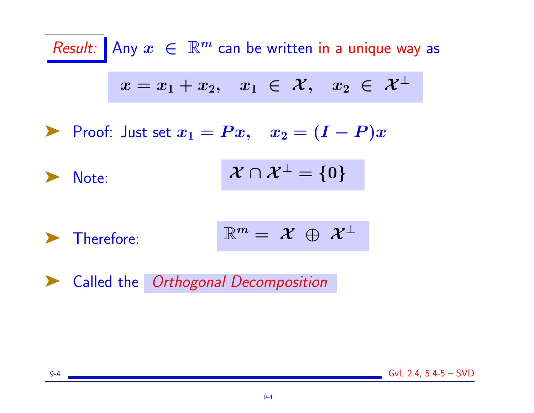

➤ Called the Orthogonal Decomposition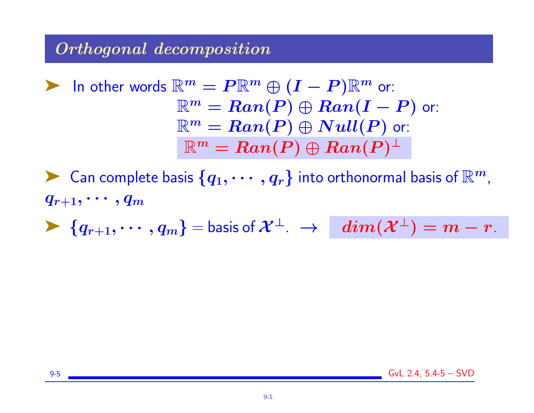## Orthogonal decomposition

**Example 2** In other words 
$$
\mathbb{R}^m = P\mathbb{R}^m \oplus (I - P)\mathbb{R}^m
$$
 or:  $\mathbb{R}^m = Ran(P) \oplus Ran(I - P)$  or:  $\mathbb{R}^m = Ran(P) \oplus Null(P)$  or:  $\mathbb{R}^m = Ran(P) \oplus Ran(P)^{\perp}$ 

 $\blacktriangleright$  Can complete basis  $\{q_1,\cdots,q_r\}$  into orthonormal basis of  $\mathbb{R}^m$ ,  $q_{r+1}, \cdots, q_m$ 

 $\blacktriangleright \{q_{r+1}, \cdots, q_m\} =$  basis of  $\mathcal{X}^\perp$ .  $\rightarrow$   $\dim(\mathcal{X}^\perp) = m - r$ .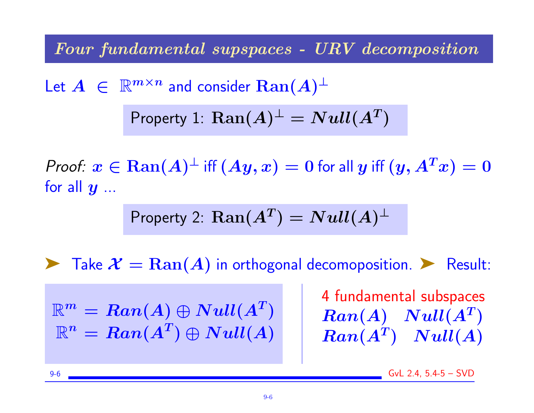Four fundamental supspaces - URV decomposition

Let  $A \in \mathbb{R}^{m \times n}$  and consider  $\text{Ran}(A)^{\perp}$ Property 1:  $\text{Ran}(A)^{\perp} = Null(A^T)$ 

*Proof:*  $x \in \text{Ran}(A)^\perp$  *iff*  $(Ay, x) = 0$  *for all*  $y$  *iff*  $(y, A^Tx) = 0$ for all  $y$  ...

Property 2: 
$$
\text{Ran}(A^T) = Null(A)^{\perp}
$$

**Example 3** Take  $\mathcal{X} = \text{Ran}(A)$  in orthogonal decomoposition. **E** Result:

 $\mathbb{R}^m = Ran(A) \oplus Null(A^T)$  $\mathbb{R}^n = Ran(A^T) \oplus Null(A)$  4 fundamental subspaces  $Ran(A)$   $Null(A^T)$  $Ran(A^T)$   $Null(A)$ 

9-6 GvL 2.4, 5.4-5 – SVD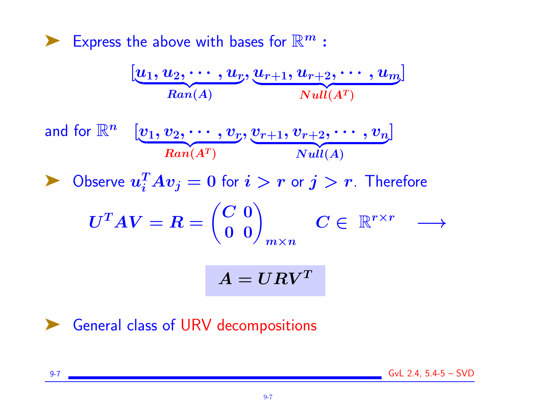Express the above with bases for  $\mathbb{R}^m$  :

$$
[\underbrace{u_1, u_2, \cdots, u_r}_{\text{Ran}(A)}, \underbrace{u_{r+1}, u_{r+2}, \cdots, u_m}_{\text{Null}(A^T)}]
$$
\nand for  $\mathbb{R}^n$   $[\underbrace{v_1, v_2, \cdots, v_r}_{\text{Ran}(A^T)}, \underbrace{v_{r+1}, v_{r+2}, \cdots, v_n}_{\text{Null}(A)}]$ \n $\blacktriangleright$  Observe  $u_i^T A v_j = 0$  for  $i > r$  or  $j > r$ . Therefore\n
$$
U^T A V = R = \begin{pmatrix} C & 0 \\ 0 & 0 \end{pmatrix}_{m \times n}
$$
\n $C \in \mathbb{R}^{r \times r} \longrightarrow$ 

$$
A = U R V^T
$$

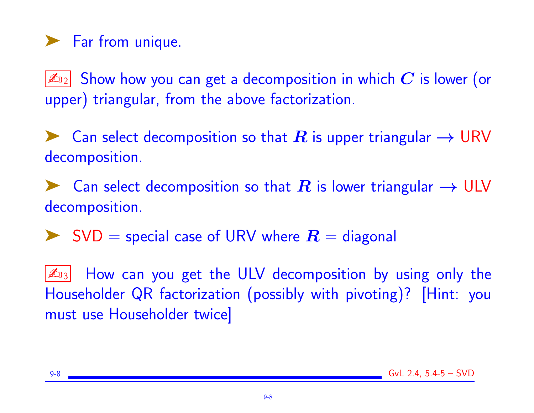# ▶ Far from unique.

ه $\vert\mathbb{Z}_{12}\vert$  Show how you can get a decomposition in which  $\boldsymbol{C}$  is lower (or upper) triangular, from the above factorization.

► Can select decomposition so that R is upper triangular  $\rightarrow$  URV decomposition.

► Can select decomposition so that R is lower triangular  $\rightarrow$  ULV decomposition.

 $\triangleright$  SVD = special case of URV where  $R =$  diagonal

 $\mathbb{Z}_{3}$  How can you get the ULV decomposition by using only the Householder QR factorization (possibly with pivoting)? [Hint: you must use Householder twice]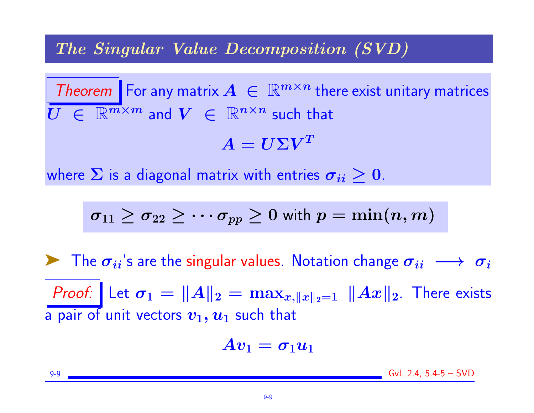### The Singular Value Decomposition (SVD)

Theorem For any matrix  $A \in \mathbb{R}^{m \times n}$  there exist unitary matrices  $\overline{U} \in \mathbb{R}^{m \times m}$  and  $V \in \mathbb{R}^{n \times n}$  such that

 $A = U \Sigma V^T$ 

where  $\Sigma$  is a diagonal matrix with entries  $\sigma_{ii} \geq 0$ .

$$
\sigma_{11} \geq \sigma_{22} \geq \cdots \sigma_{pp} \geq 0 \text{ with } p = \min(n,m)
$$

 $\triangleright$  The  $\sigma_{ii}$ 's are the singular values. Notation change  $\sigma_{ii} \longrightarrow \sigma_i$ Proof: Let  $\sigma_1 = ||A||_2 = \max_{x, ||x||_2=1} ||Ax||_2$ . There exists a pair of unit vectors  $v_1, u_1$  such that

$$
A v_1 = \sigma_1 u_1
$$

9-9 GvL 2.4, 5.4-5 – SVD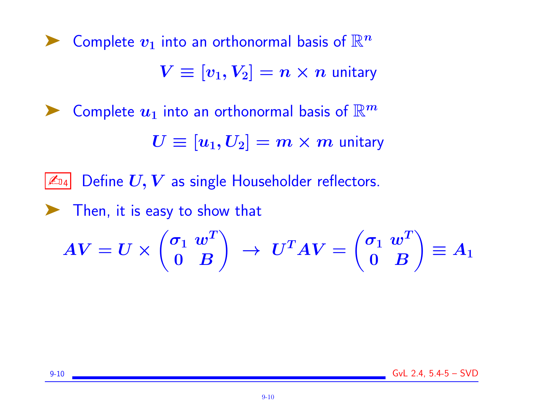Complete  $v_1$  into an orthonormal basis of  $\mathbb{R}^n$  $V \equiv [v_1, V_2] = n \times n$  unitary Complete  $u_1$  into an orthonormal basis of  $\mathbb{R}^m$  $U \equiv [u_1, U_2] = m \times m$  unitary  $\mathbb{Z}_{24}$  Define  $\boldsymbol{U,V}$  as single Householder reflectors. ➤ Then, it is easy to show that  $\bm{A}\bm{V}=\bm{U}\bm{\times}$  $\int \sigma_1 \; w^T$  $0$   $B$  $\setminus$  $\rightarrow ~U^TAV =$  $\int \sigma_1 \; w^T$  $0$   $B$  $\setminus$ 

 $\equiv A_1$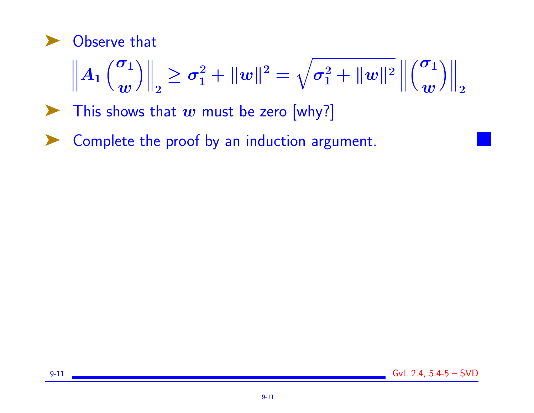

$$
\left\|A_1\left(\begin{matrix}\sigma_1 \\ w\end{matrix}\right)\right\|_2 \geq \sigma_1^2 + \Vert w\Vert^2 = \sqrt{\sigma_1^2 + \Vert w\Vert^2} \left\|\begin{matrix}\sigma_1 \\ w\end{matrix}\right)\right\|_2
$$

- $\blacktriangleright$  This shows that w must be zero [why?]
- ➤ Complete the proof by an induction argument.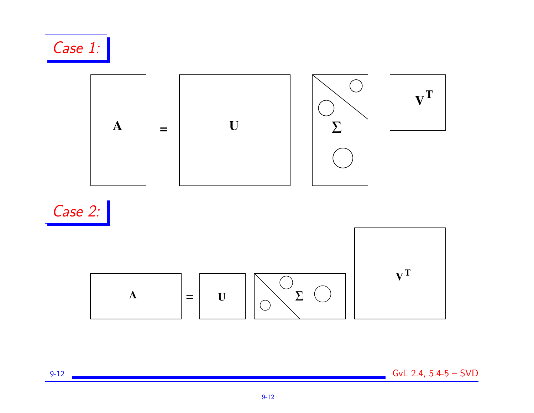

9-12 GvL 2.4, 5.4-5 – SVD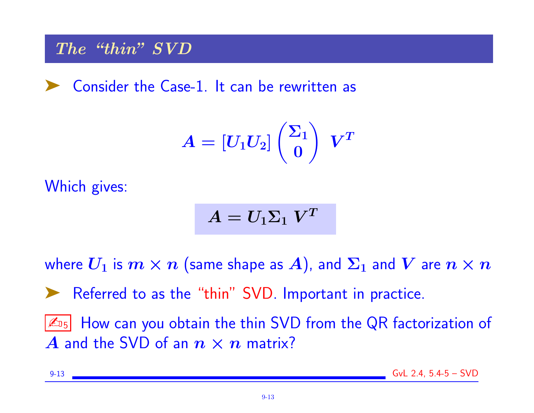## The "thin" SVD

➤ Consider the Case-1. It can be rewritten as

$$
A = \left[ U_1 U_2 \right] \binom{\Sigma_1}{0} \ \ V^T
$$

Which gives:

$$
A=U_1\Sigma_1~V^T
$$

where  $U_1$  is  $m \times n$  (same shape as A), and  $\Sigma_1$  and  $V$  are  $n \times n$ 

➤ Referred to as the "thin" SVD. Important in practice.

 $|\mathcal{L}_{15}|$  How can you obtain the thin SVD from the QR factorization of A and the SVD of an  $n \times n$  matrix?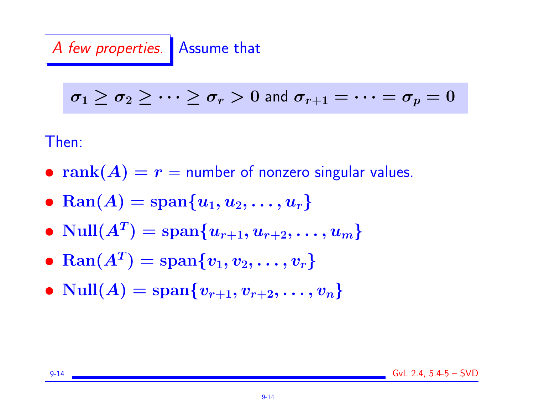A few properties. Assume that

$$
\sigma_1 \geq \sigma_2 \geq \cdots \geq \sigma_r > 0 \text{ and } \sigma_{r+1} = \cdots = \sigma_p = 0
$$

Then:

- rank $(A) = r =$  number of nonzero singular values.
- Ran(A) =  ${\rm span}\{u_1, u_2, \ldots, u_r\}$
- $\bullet$   $\text{Null}(A^T) = \text{span}\{u_{r+1}, u_{r+2}, \ldots, u_m\}$
- $\text{Ran}(A^T) = \text{span}\{v_1, v_2, \ldots, v_r\}$
- $Null(A) = span{v_{r+1}, v_{r+2}, \ldots, v_n}$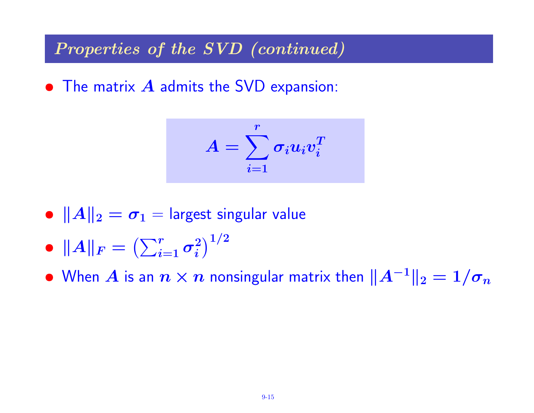Properties of the SVD (continued)

• The matrix  $\boldsymbol{A}$  admits the SVD expansion:

$$
A = \sum_{i=1}^r \sigma_i u_i v_i^T
$$

- $||A||_2 = \sigma_1$  = largest singular value
- $\bullet \,\,\|A\|_F = \bigl(\sum_{i=1}^r \sigma_i^2\bigr)$  $\binom{2}{i}^{1/2}$

• When  $A$  is an  $n \times n$  nonsingular matrix then  $\|A^{-1}\|_2 = 1/\sigma_n$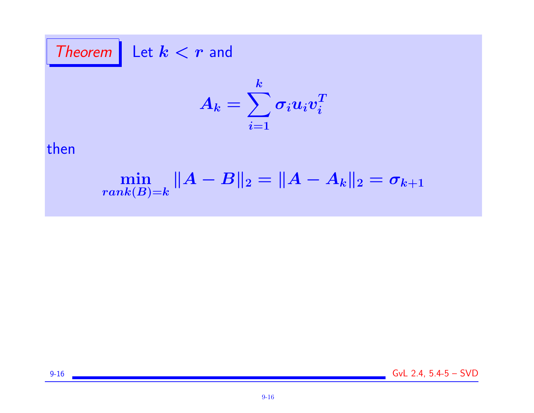Theorem Let  $k < r$  and

$$
A_k = \sum_{i=1}^k \sigma_i u_i v_i^T
$$

## then

$$
\min_{rank(B)=k} \|A-B\|_2 = \|A-A_k\|_2 = \sigma_{k+1}
$$

9-16 GvL 2.4, 5.4-5 – SVD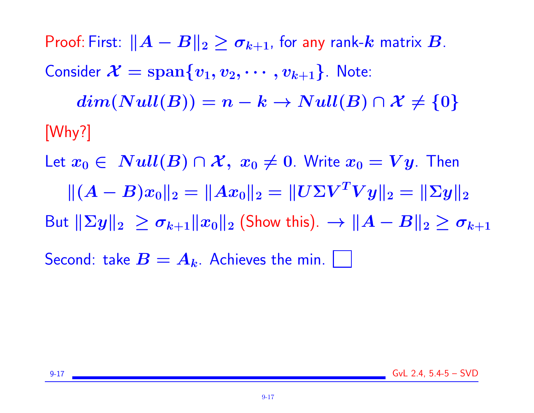Proof: First:  $||A - B||_2 \geq \sigma_{k+1}$ , for any rank-k matrix B. Consider  $\mathcal{X} = \text{span}\{v_1, v_2, \cdots, v_{k+1}\}\$ . Note:  $dim(Null(B)) = n - k \rightarrow Null(B) \cap \mathcal{X} \neq \{0\}$ [Why?]

Let  $x_0 \in Null(B) \cap \mathcal{X}, x_0 \neq 0$ . Write  $x_0 = Vy$ . Then  $\|(A - B)x_0\|_2 = \|Ax_0\|_2 = \|U\Sigma V^T V y\|_2 = \|\Sigma y\|_2$ But  $||\Sigma y||_2 \ge \sigma_{k+1} ||x_0||_2$  (Show this).  $\rightarrow ||A - B||_2 \ge \sigma_{k+1}$ Second: take  $B = A_k$ . Achieves the min. | |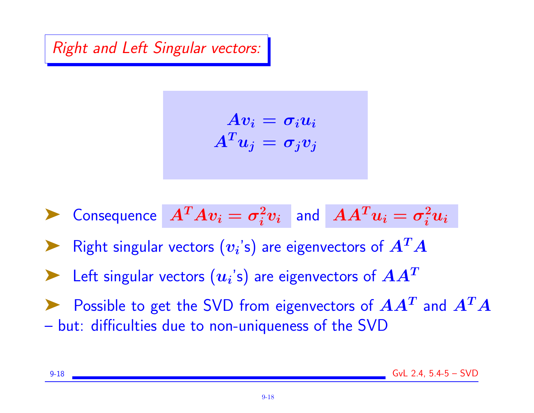Right and Left Singular vectors:

$$
Av_i = \sigma_i u_i
$$

$$
A^T u_j = \sigma_j v_j
$$

 $\blacktriangleright$  Consequence  $A^T A v_i = \sigma_i^2$  $\begin{array}{cc} {}^2_i v_i \end{array}$  and  $\begin{array}{cc} AA^T u_i = \sigma_i^2 u_i \end{array}$ Right singular vectors  $(v_i)$  are eigenvectors of  $A^T A$  $\blacktriangleright$  Left singular vectors  $(u_i\text{'s})$  are eigenvectors of  $AA^T$ Possible to get the SVD from eigenvectors of  $AA^T$  and  $A^TA$ – but: difficulties due to non-uniqueness of the SVD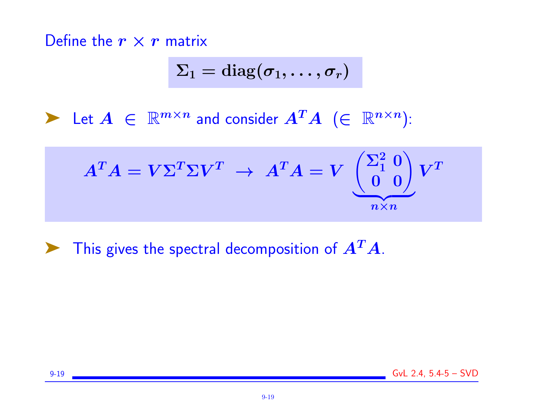Define the  $r \times r$  matrix

$$
\Sigma_1 = \text{diag}(\pmb{\sigma}_1, \ldots, \pmb{\sigma}_r)
$$

 $\blacktriangleright$  Let  $A \in \mathbb{R}^{m \times n}$  and consider  $A^T A$   $(\in \mathbb{R}^{n \times n})$ :

$$
AT A = V \SigmaT \Sigma VT \rightarrow AT A = V \underbrace{\begin{pmatrix} \Sigma_1^2 & 0 \\ 0 & 0 \end{pmatrix}}_{n \times n} VT
$$

 $\blacktriangleright$  This gives the spectral decomposition of  $A^T A$ .